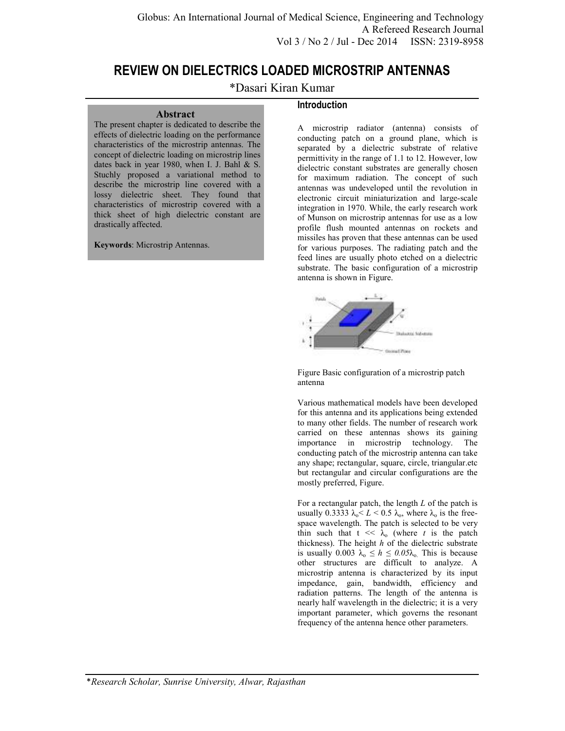# **REVIEW ON DIELECTRICS LOADED MICROSTRIP ANTENNAS**

# \*Dasari Kiran Kumar

### **Abstract**

The present chapter is dedicated to describe the effects of dielectric loading on the performance characteristics of the microstrip antennas. The concept of dielectric loading on microstrip lines dates back in year 1980, when I. J. Bahl & S. Stuchly proposed a variational method to describe the microstrip line covered with a lossy dielectric sheet. They found that characteristics of microstrip covered with a thick sheet of high dielectric constant are drastically affected.

#### **Keywords**: Microstrip Antennas.

## **Introduction**

A microstrip radiator (antenna) consists of conducting patch on a ground plane, which is separated by a dielectric substrate of relative permittivity in the range of 1.1 to 12. However, low dielectric constant substrates are generally chosen for maximum radiation. The concept of such antennas was undeveloped until the revolution in electronic circuit miniaturization and large-scale integration in 1970. While, the early research work of Munson on microstrip antennas for use as a low profile flush mounted antennas on rockets and missiles has proven that these antennas can be used for various purposes. The radiating patch and the feed lines are usually photo etched on a dielectric substrate. The basic configuration of a microstrip antenna is shown in Figure.



Figure Basic configuration of a microstrip patch antenna

Various mathematical models have been developed for this antenna and its applications being extended to many other fields. The number of research work carried on these antennas shows its gaining importance in microstrip technology. The conducting patch of the microstrip antenna can take any shape; rectangular, square, circle, triangular.etc but rectangular and circular configurations are the mostly preferred, Figure.

For a rectangular patch, the length *L* of the patch is usually 0.3333  $\lambda_0 < L < 0.5$   $\lambda_0$ , where  $\lambda_0$  is the freespace wavelength. The patch is selected to be very thin such that  $t \ll \lambda_0$  (where *t* is the patch thickness). The height *h* of the dielectric substrate is usually 0.003  $\lambda_0 \leq h \leq 0.05\lambda_0$ . This is because other structures are difficult to analyze. A microstrip antenna is characterized by its input impedance, gain, bandwidth, efficiency and radiation patterns. The length of the antenna is nearly half wavelength in the dielectric; it is a very important parameter, which governs the resonant frequency of the antenna hence other parameters.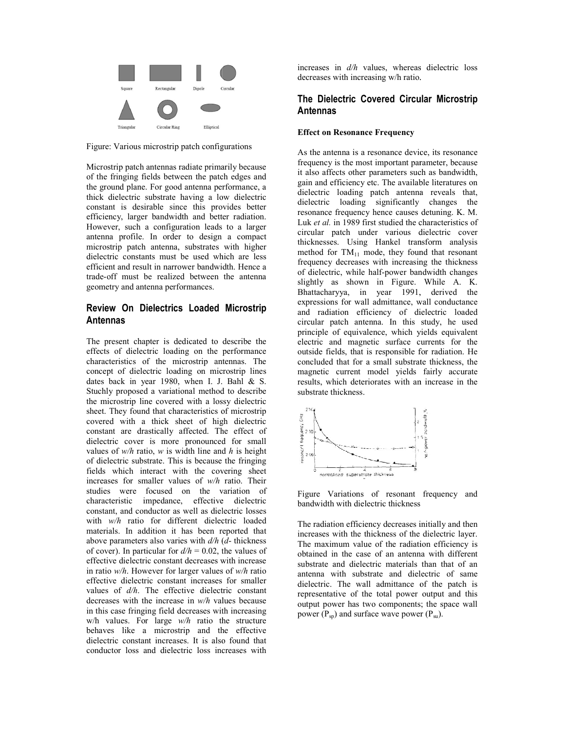

Figure: Various microstrip patch configurations

Microstrip patch antennas radiate primarily because of the fringing fields between the patch edges and the ground plane. For good antenna performance, a thick dielectric substrate having a low dielectric constant is desirable since this provides better efficiency, larger bandwidth and better radiation. However, such a configuration leads to a larger antenna profile. In order to design a compact microstrip patch antenna, substrates with higher dielectric constants must be used which are less efficient and result in narrower bandwidth. Hence a trade-off must be realized between the antenna geometry and antenna performances. of the fringing fields between the patch edges and<br>the ground plane. For good antenna performance, a<br>thick delectric substrate having a low dielectric<br>constant is desirable since this provides better<br>efficiency, larger ban

# **Review On Dielectrics Loaded Microstrip Antennas**

The present chapter is dedicated to describe the effects of dielectric loading on the performance characteristics of the microstrip antennas. The concept of dielectric loading on microstrip lines dates back in year 1980, when I. J. Bahl & S. Stuchly proposed a variational method to describe the microstrip line covered with a lossy dielectric sheet. They found that characteristics of microstrip covered with a thick sheet of high dielectric constant are drastically affected. The effect of dielectric cover is more pronounced for small values of *w/h* ratio, *w* is width line and *h* is height of dielectric substrate. This is because the fringing fields which interact with the covering sheet increases for smaller values of *w/h* studies were focused on the variation of characteristic impedance, effective dielectric constant, and conductor as well as dielectric losses with  $w/h$  ratio for different dielectric loaded materials. In addition it has been reported that above parameters also varies with *d/h* ( *d*- thickness of cover). In particular for  $d/h = 0.02$ , the values of effective dielectric constant decreases with increase in ratio *w/h*. However for larger values of *w/h* ratio effective dielectric constant increases for smaller values of *d/h*. The effective dielectric constant decreases with the increase in *w/h* values because in this case fringing field decreases with increasing w/h values. For large *w/h* ratio the structure behaves like a microstrip and the effective dielectric constant increases. It is also found that conductor loss and dielectric loss increases with the fringing<br>ering sheet<br>ratio. Their impedance, effective d<br>inductor as well as dielectric<br>for different dielectric the dielectric constant increases for smaller<br>of  $d/h$ . The effective dielectric constant<br>ses with the increase in  $w/h$  values because<br>case fringing field decreases with increasing<br>alues. For large  $w/h$  ratio the structure decreases with increasing w/h ratio.

# **The Dielectric Covered Circular Microstrip Antennas**

### **Effect on Resonance Frequency**

**is the size of the size of the size of the size of the size of the size of the size of the size of the size of the size of the size of the size of the size of the size of the size of the size of the size of the size of th** As the antenna is a resonance device, its resonance frequency is the most important parameter, because it also affects other parameters such as bandwidth, gain and efficiency etc. The available literatures on dielectric loading patch antenna reveals that, dielectric loading significantly changes the resonance frequency hence causes detuning. K. M. Luk *et al.* in 1989 first studied the characteristics of circular patch under various dielectric thicknesses. Using Hankel transform analysis method for  $TM_{11}$  mode, they found that resonant frequency decreases with increasing the thickness of dielectric, while half-power bandwidth changes slightly as shown in Figure. While A. K. Bhattacharyya, in year 1991, derived the expressions for wall admittance, wall conductance and radiation efficiency of dielectric loaded circular patch antenna. In this study, he used principle of equivalence, which yields equivalent electric and magnetic surface currents for the outside fields, that is responsible for radiation. He concluded that for a small substrate thickness, the magnetic current model yields fairly accurate results, which deteriorates with an increase in the substrate thickness. exases with increasing w/h ratio.<br> **Dielectric Covered Circular Microstrip**<br> **ennas**<br> **entation** is a resonance device, its resonance<br>
ency is the most important parameter, because<br>
o affects other parameters such as bandw decreases with increasing the thickness<br>of dielectric, while half-power bandwidth changes<br>slightly as shown in Figure. While A. K.<br>Bhattacharyya, in year 1991, derived the<br>expressions for wall admittance, wall conductance



Figure Variations of resonant frequency and bandwidth with dielectric thickness

The radiation efficiency decreases initially and then increases with the thickness of the dielectric layer. The maximum value of the radiation efficiency is obtained in the case of an antenna with different substrate and dielectric materials than that of an antenna with substrate and dielectric of same dielectric. The wall admittance of the patch is representative of the total power output and this output power has two components; the space wall power  $(P_{sp})$  and surface wave power  $(P_{su})$ .